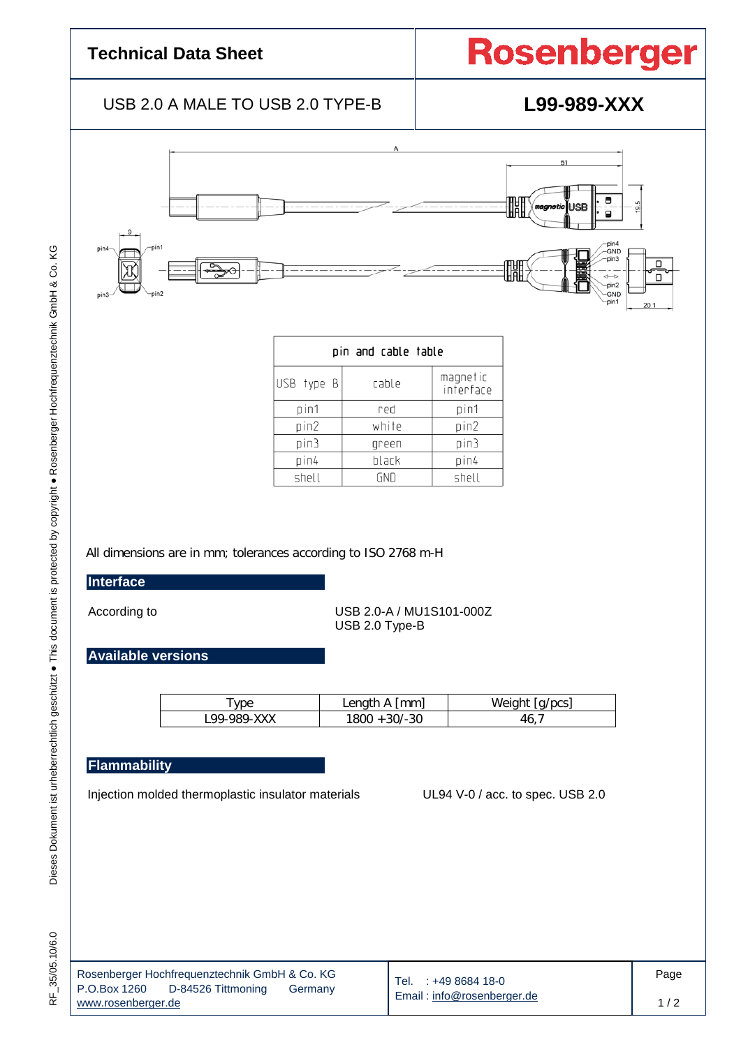## **Technical Data Sheet**

# **Rosenberger**

### USB 2.0 A MALE TO USB 2.0 TYPE-B **L99-989-XXX**



| pin and cable table |       |                       |  |  |  |
|---------------------|-------|-----------------------|--|--|--|
| USB type B          | cable | magnetic<br>inferface |  |  |  |
| pin1                | red   | pin1                  |  |  |  |
| pin2                | white | pin2                  |  |  |  |
| pin3                | green | pin3                  |  |  |  |
| pin4                | black | pin4                  |  |  |  |
| shell               | GND   | shell                 |  |  |  |

All dimensions are in mm; tolerances according to ISO 2768 m-H

#### **Interface**

According to USB 2.0-A / MU1S101-000Z USB 2.0 Type-B

**Available versions**

| vpe         | Length A [mm]     | Weight<br>la/pcs) |
|-------------|-------------------|-------------------|
| L99-989-XXX | $+30/-30$<br>1800 | 40.               |

### **Flammability**

Injection molded thermoplastic insulator materials UL94 V-0 / acc. to spec. USB 2.0

I

|                    | Rosenberger Hochfrequenztechnik GmbH & Co. KG |         |
|--------------------|-----------------------------------------------|---------|
| P.O.Box 1260       | D-84526 Tittmoning                            | Germany |
| www.rosenberger.de |                                               |         |

Tel. : +49 8684 18-0 Email : [info@rosenberger.de](mailto:info@rosenberger.de)